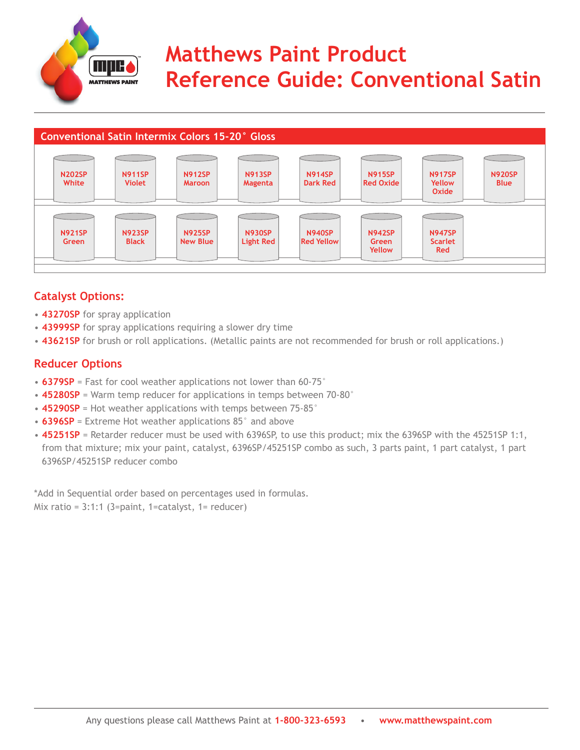

# **Matthews Paint Product Reference Guide: Conventional Satin**



### **Catalyst Options:**

- **43270SP** for spray application
- **43999SP** for spray applications requiring a slower dry time
- 43621SP for brush or roll applications. (Metallic paints are not recommended for brush or roll applications.)

### **Reducer Options**

- **6379SP** = Fast for cool weather applications not lower than 60-75°
- **45280SP** = Warm temp reducer for applications in temps between 70-80°
- **45290SP** = Hot weather applications with temps between 75-85°
- **6396SP** = Extreme Hot weather applications 85° and above
- 45251SP = Retarder reducer must be used with 6396SP, to use this product; mix the 6396SP with the 45251SP 1:1, from that mixture; mix your paint, catalyst, 6396SP/45251SP combo as such, 3 parts paint, 1 part catalyst, 1 part 6396SP/45251SP reducer combo

\*Add in Sequential order based on percentages used in formulas. Mix ratio =  $3:1:1$  (3=paint, 1=catalyst, 1= reducer)